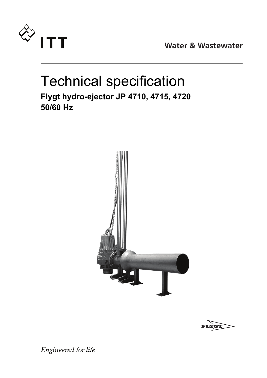

**Water & Wastewater** 

## Technical specification **Flygt hydro-ejector JP 4710, 4715, 4720 50/60 Hz**





Engineered for life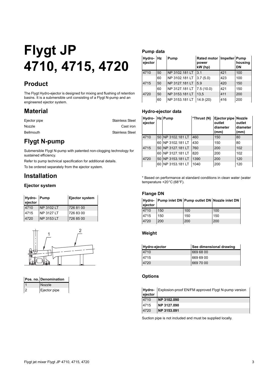# **Flygt JP 4710, 4715, 4720**

## **Product**

The Flygt Hydro-ejector is designed for mixing and flushing of retention basins. It is a submersible unit consisting of a Flygt N-pump and an engineered ejector system.

## **Material**

| Ejector pipe     | <b>Stainless Steel</b> |
|------------------|------------------------|
| <b>Nozzle</b>    | Cast iron              |
| <b>Bellmouth</b> | <b>Stainless Steel</b> |

## **Flygt N-pump**

Submersible Flygt N-pump with patented non-clogging technology for sustained efficiency.

Refer to pump technical specification for additional details.

To be ordered separately from the ejector system.

## **Installation**

#### **Ejector system**

| Hydro- Pump<br>ejector |            | Ejector system |
|------------------------|------------|----------------|
| 4710                   | NP 3102 LT | 726 81 00      |
| 4715                   | NP 3127 LT | 726 83 00      |
| 4720                   | NP 3153 LT | 726 85 00      |



| Pos. no. Denomination |
|-----------------------|
| Nozzle                |
| Ejector pipe          |

#### **Pump data**

| Hydro-Hz<br>ejector |    | Pump           | Rated motor   Impeller   Pump<br>power<br>kW (hp) |     | housing<br>DN |
|---------------------|----|----------------|---------------------------------------------------|-----|---------------|
| 4710                | 50 | NP 3102.181 LT | 3.1                                               | 421 | 100           |
|                     | 60 | NP 3102.181 LT | 3.7(5.0)                                          | 423 | 100           |
| 4715                | 50 | NP 3127.181 LT | 5.9                                               | 420 | 150           |
|                     | 60 | NP 3127.181 LT | 7.5(10.0)                                         | 421 | 150           |
| 4720                | 50 | NP 3153.181 LT | 13.5                                              | 411 | 200           |
|                     | 60 | NP 3153.181 LT | 14.9(20)                                          | 416 | 200           |

#### **Hydro-ejector data**

| Hydro- Hz Pump<br>ejector |      |                    | *Thrust (N) | Ejector pipe Nozzle<br>outlet<br>diameter<br>(mm) | outlet<br>diameter<br>(mm) |
|---------------------------|------|--------------------|-------------|---------------------------------------------------|----------------------------|
| 4710                      |      | 50 NP 3102.181 LT  | 460         | 150                                               | 80                         |
|                           | 60 I | NP 3102.181 LT     | 430         | 150                                               | 80                         |
| 4715                      |      | 50 INP 3127.181 LT | 760         | 200                                               | 102                        |
|                           | 60   | NP 3127.181 LT     | 820         | 200                                               | 102                        |
| 4720                      |      | 50 NP 3153.181 LT  | 1390        | 200                                               | 120                        |
|                           | 60   | NP 3153.181 LT     | 1040        | 200                                               | 120                        |

\* Based on performance at standard conditions in clean water (water temperature +20°C (68°F).

#### **Flange DN**

| ejector |     | Hydro- Pump inlet DN Pump outlet DN Nozzle inlet DN |     |
|---------|-----|-----------------------------------------------------|-----|
| 4710    | 150 | 100                                                 | 100 |
| 4715    | 150 | 150                                                 | 150 |
| 4720    | 200 | 200                                                 | 200 |

#### **Weight**

| Hydro-ejector | See dimensional drawing |
|---------------|-------------------------|
| 4710          | 669 68 00               |
| 4715          | 669 69 00               |
| 4720          | 669 70 00               |

#### **Options**

**Hydro-**Explosion-proof EN/FM approved Flygt N-pump version

| ejector |             |
|---------|-------------|
| 4710    | NP 3102.090 |
| 4715    | NP 3127.090 |
| 4720    | NP 3153.091 |

Suction pipe is not included and must be supplied locally.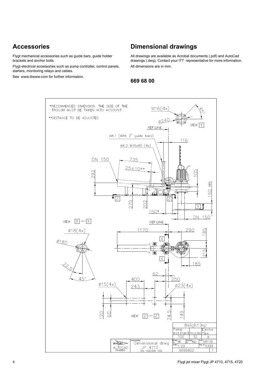## **Accessories**

Flygt mechanical accessories such as guide bars, guide holder brackets and anchor bolts.

Flygt electrical accessories such as pump controller, control panels, starters, monitoring relays and cables.

See [www.ittwww.com](http://www.flygt.com) for further information.

### **Dimensional drawings**

All drawings are available as Acrobat documents (.pdf) and AutoCad drawings (.dwg). Contact your ITT representative for more information. All dimensions are in mm.

#### **669 68 00**

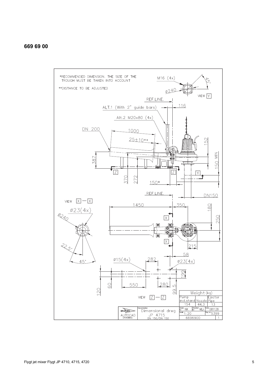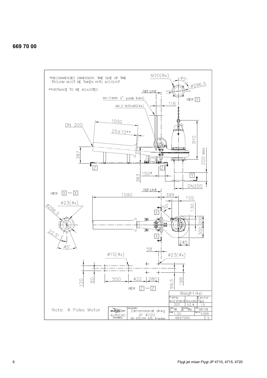#### **669 70 00**